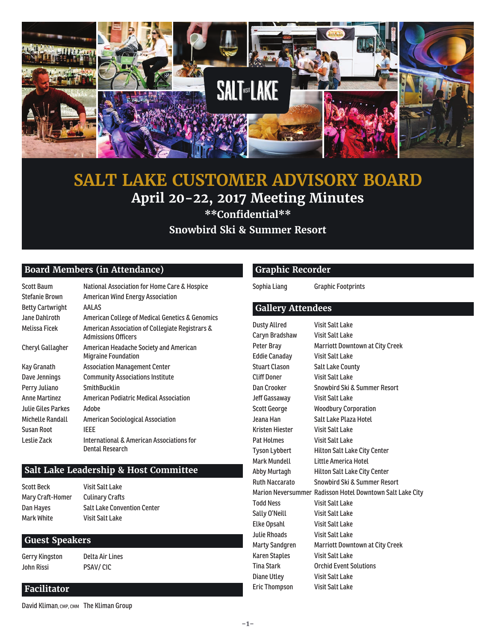

### **SALT LAKE CUSTOMER ADVISORY BOARD April 20-22, 2017 Meeting Minutes \*\*Confi dential\*\* Snowbird Ski & Summer Resort**

### **Board Members (in Attendance)**

| <b>Scott Baum</b>       | National Association for Home Care & Hospice                                  |
|-------------------------|-------------------------------------------------------------------------------|
| <b>Stefanie Brown</b>   | <b>American Wind Energy Association</b>                                       |
| <b>Betty Cartwright</b> | AALAS                                                                         |
| Jane Dahlroth           | American College of Medical Genetics & Genomics                               |
| Melissa Ficek           | American Association of Collegiate Registrars &<br><b>Admissions Officers</b> |
| Cheryl Gallagher        | American Headache Society and American<br><b>Migraine Foundation</b>          |
| Kay Granath             | <b>Association Management Center</b>                                          |
| Dave Jennings           | <b>Community Associations Institute</b>                                       |
| Perry Juliano           | <b>SmithBucklin</b>                                                           |
| <b>Anne Martinez</b>    | <b>American Podiatric Medical Association</b>                                 |
| Julie Giles Parkes      | Adobe                                                                         |
| Michelle Randall        | American Sociological Association                                             |
| <b>Susan Root</b>       | <b>IFFF</b>                                                                   |
| Leslie Zack             | International & American Associations for<br>Dental Research                  |

### **Salt Lake Leadership & Host Committee**

| Scott Beck       | <b>Visit Salt Lake</b>             |
|------------------|------------------------------------|
| Mary Craft-Homer | <b>Culinary Crafts</b>             |
| Dan Hayes        | <b>Salt Lake Convention Center</b> |
| Mark White       | <b>Visit Salt Lake</b>             |

 **Guest Speakers**

Gerry Kingston Delta Air Lines John Rissi PSAV/ CIC

### **Graphic Recorder**

Sophia Liang Graphic Footprints

### **Gallery Attendees**

| <b>Dusty Allred</b>   | <b>Visit Salt Lake</b>                                    |
|-----------------------|-----------------------------------------------------------|
| Caryn Bradshaw        | <b>Visit Salt Lake</b>                                    |
| Peter Bray            | <b>Marriott Downtown at City Creek</b>                    |
| <b>Eddie Canaday</b>  | <b>Visit Salt Lake</b>                                    |
| <b>Stuart Clason</b>  | <b>Salt Lake County</b>                                   |
| Cliff Doner           | <b>Visit Salt Lake</b>                                    |
| Dan Crooker           | <b>Snowbird Ski &amp; Summer Resort</b>                   |
| Jeff Gassaway         | <b>Visit Salt Lake</b>                                    |
| Scott George          | <b>Woodbury Corporation</b>                               |
| Jeana Han             | Salt Lake Plaza Hotel                                     |
| Kristen Hiester       | Visit Salt Lake                                           |
| <b>Pat Holmes</b>     | <b>Visit Salt Lake</b>                                    |
| Tyson Lybbert         | Hilton Salt Lake City Center                              |
| Mark Mundell          | Little America Hotel                                      |
| Abby Murtagh          | Hilton Salt Lake City Center                              |
| <b>Ruth Naccarato</b> | <b>Snowbird Ski &amp; Summer Resort</b>                   |
|                       | Marion Neversummer Radisson Hotel Downtown Salt Lake City |
| <b>Todd Ness</b>      | Visit Salt Lake                                           |
| Sally O'Neill         | <b>Visit Salt Lake</b>                                    |
| <b>Elke Opsahl</b>    | <b>Visit Salt Lake</b>                                    |
| <b>Julie Rhoads</b>   | <b>Visit Salt Lake</b>                                    |
| Marty Sandgren        | Marriott Downtown at City Creek                           |
| Karen Staples         | <b>Visit Salt Lake</b>                                    |
| <b>Tina Stark</b>     | <b>Orchid Event Solutions</b>                             |
| Diane Utley           | <b>Visit Salt Lake</b>                                    |
| <b>Eric Thompson</b>  | <b>Visit Salt Lake</b>                                    |

### **Facilitator**

David Kliman, CMP, CMM The Kliman Group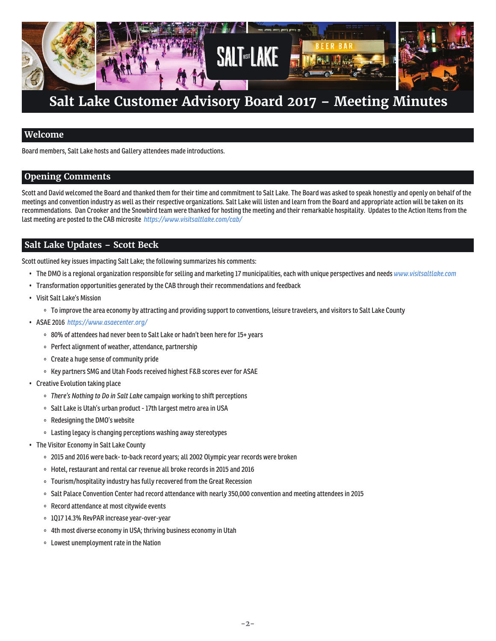

### **Welcome**

Board members, Salt Lake hosts and Gallery attendees made introductions.

### **Opening Comments**

Scott and David welcomed the Board and thanked them for their time and commitment to Salt Lake. The Board was asked to speak honestly and openly on behalf of the meetings and convention industry as well as their respective organizations. Salt Lake will listen and learn from the Board and appropriate action will be taken on its recommendations. Dan Crooker and the Snowbird team were thanked for hosting the meeting and their remarkable hospitality. Updates to the Action Items from the last meeting are posted to the CAB microsite *https://www.visitsaltlake.com/cab/*

### **Salt Lake Updates – Scott Beck**

Scott outlined key issues impacting Salt Lake; the following summarizes his comments:

- The DMO is a regional organization responsible for selling and marketing 17 municipalities, each with unique perspectives and needs *www.visitsaltlake.com*
- Transformation opportunities generated by the CAB through their recommendations and feedback
- Visit Salt Lake's Mission
	- To improve the area economy by attracting and providing support to conventions, leisure travelers, and visitors to Salt Lake County
- ASAE 2016 *https://www.asaecenter.org/*
	- 80% of attendees had never been to Salt Lake or hadn't been here for 15+ years
	- Perfect alignment of weather, attendance, partnership
	- Create a huge sense of community pride
	- Key partners SMG and Utah Foods received highest F&B scores ever for ASAE
- Creative Evolution taking place
	- *There's Nothing to Do in Salt Lake* campaign working to shift perceptions
	- o Salt Lake is Utah's urban product 17th largest metro area in USA
	- Redesigning the DMO's website
	- Lasting legacy is changing perceptions washing away stereotypes
- The Visitor Economy in Salt Lake County
	- 2015 and 2016 were back- to-back record years; all 2002 Olympic year records were broken
	- Hotel, restaurant and rental car revenue all broke records in 2015 and 2016
	- Tourism/hospitality industry has fully recovered from the Great Recession
	- Salt Palace Convention Center had record attendance with nearly 350,000 convention and meeting attendees in 2015
	- Record attendance at most citywide events
	- 1Q17 14.3% RevPAR increase year-over-year
	- 4th most diverse economy in USA; thriving business economy in Utah
	- Lowest unemployment rate in the Nation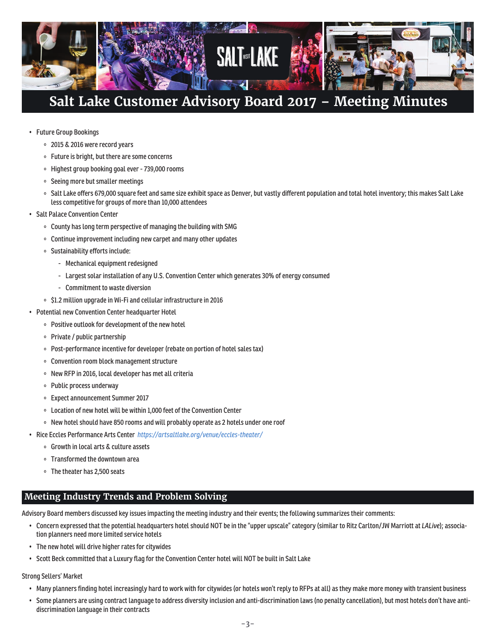

- Future Group Bookings
	- 2015 & 2016 were record years
	- Future is bright, but there are some concerns
	- Highest group booking goal ever 739,000 rooms
	- o Seeing more but smaller meetings
	- o Salt Lake offers 679,000 square feet and same size exhibit space as Denver, but vastly different population and total hotel inventory; this makes Salt Lake less competitive for groups of more than 10,000 attendees
- **Salt Palace Convention Center** 
	- County has long term perspective of managing the building with SMG
	- Continue improvement including new carpet and many other updates
	- Sustainability efforts include:
		- Mechanical equipment redesigned
		- Largest solar installation of any U.S. Convention Center which generates 30% of energy consumed
		- Commitment to waste diversion
	- \$1.2 million upgrade in Wi-Fi and cellular infrastructure in 2016
- Potential new Convention Center headquarter Hotel
	- Positive outlook for development of the new hotel
	- Private / public partnership
	- Post-performance incentive for developer (rebate on portion of hotel sales tax)
	- Convention room block management structure
	- o New RFP in 2016, local developer has met all criteria
	- Public process underway
	- Expect announcement Summer 2017
	- Location of new hotel will be within 1,000 feet of the Convention Center
	- New hotel should have 850 rooms and will probably operate as 2 hotels under one roof
- Rice Eccles Performance Arts Center *https://artsaltlake.org/venue/eccles-theater/*
	- Growth in local arts & culture assets
	- Transformed the downtown area
	- The theater has 2,500 seats

### **Meeting Industry Trends and Problem Solving**

Advisory Board members discussed key issues impacting the meeting industry and their events; the following summarizes their comments:

- Concern expressed that the potential headquarters hotel should NOT be in the "upper upscale" category (similar to Ritz Carlton/JW Marriott at *LALive*); association planners need more limited service hotels
- The new hotel will drive higher rates for citywides
- Scott Beck committed that a Luxury flag for the Convention Center hotel will NOT be built in Salt Lake

### Strong Sellers' Market

- Many planners finding hotel increasingly hard to work with for citywides (or hotels won't reply to RFPs at all) as they make more money with transient business
- Some planners are using contract language to address diversity inclusion and anti-discrimination laws (no penalty cancellation), but most hotels don't have antidiscrimination language in their contracts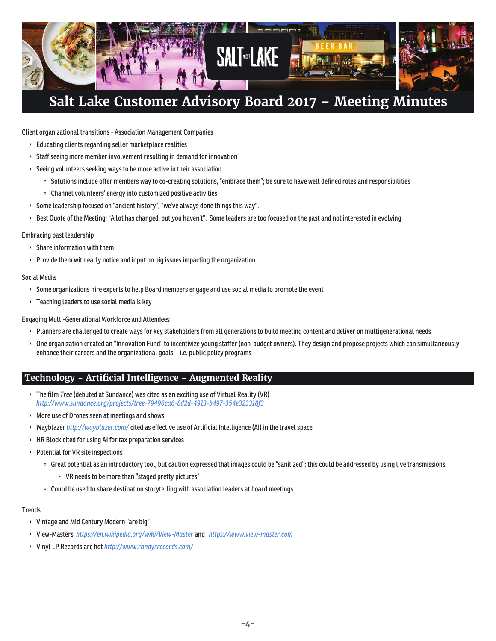

Client organizational transitions - Association Management Companies

- Educating clients regarding seller marketplace realities
- Staff seeing more member involvement resulting in demand for innovation
- Seeing volunteers seeking ways to be more active in their association
	- Solutions include offer members way to co-creating solutions, "embrace them"; be sure to have well defined roles and responsibilities
	- Channel volunteers' energy into customized positive activities
- Some leadership focused on "ancient history"; "we've always done things this way".
- Best Quote of the Meeting: "A lot has changed, but you haven't". Some leaders are too focused on the past and not interested in evolving

### Embracing past leadership

- Share information with them
- Provide them with early notice and input on big issues impacting the organization

### Social Media

- Some organizations hire experts to help Board members engage and use social media to promote the event
- Teaching leaders to use social media is key

Engaging Multi-Generational Workforce and Attendees

- Planners are challenged to create ways for key stakeholders from all generations to build meeting content and deliver on multigenerational needs
- One organization created an "Innovation Fund" to incentivize young staffer (non-budget owners). They design and propose projects which can simultaneously enhance their careers and the organizational goals – i.e. public policy programs

### **Technology - Artifi cial Intelligence - Augmented Reality**

- The film *Tree* (debuted at Sundance) was cited as an exciting use of Virtual Reality (VR) *http://www.sundance.org/projects/tree-79496ca6-8d2d-4913-b497-354e323318f3*
- More use of Drones seen at meetings and shows
- Wayblazer *http://wayblazer.com/* cited as effective use of Artificial Intelligence (AI) in the travel space
- HR Block cited for using AI for tax preparation services
- Potential for VR site inspections
	- Great potential as an introductory tool, but caution expressed that images could be "sanitized"; this could be addressed by using live transmissions
		- VR needs to be more than "staged pretty pictures"
	- Could be used to share destination storytelling with association leaders at board meetings

### **Trends**

- Vintage and Mid Century Modern "are big"
- View-Masters *https://en.wikipedia.org/wiki/View-Master* and *https://www.view-master.com*
- Vinyl LP Records are hot *http://www.randysrecords.com/*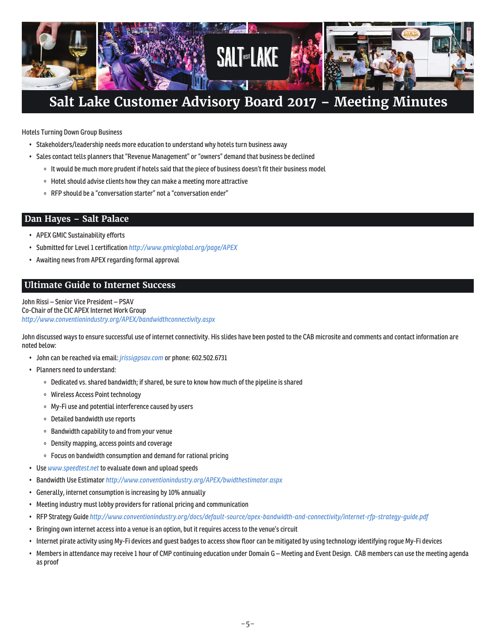

Hotels Turning Down Group Business

- Stakeholders/leadership needs more education to understand why hotels turn business away
- Sales contact tells planners that "Revenue Management" or "owners" demand that business be declined
	- o It would be much more prudent if hotels said that the piece of business doesn't fit their business model
	- Hotel should advise clients how they can make a meeting more attractive
	- RFP should be a "conversation starter" not a "conversation ender"

### **Dan Hayes – Salt Palace**

- APEX GMIC Sustainability efforts
- Submitted for Level 1 certification *http://www.gmicglobal.org/page/APEX*
- Awaiting news from APEX regarding formal approval

### **Ultimate Guide to Internet Success**

John Rissi – Senior Vice President – PSAV Co-Chair of the CIC APEX Internet Work Group *http://www.conventionindustry.org/APEX/bandwidthconnectivity.aspx*

John discussed ways to ensure successful use of internet connectivity. His slides have been posted to the CAB microsite and comments and contact information are noted below:

- John can be reached via email: *jrissi@psav.com* or phone: 602.502.6731
- Planners need to understand:
	- Dedicated vs. shared bandwidth; if shared, be sure to know how much of the pipeline is shared
	- Wireless Access Point technology
	- My-Fi use and potential interference caused by users
	- Detailed bandwidth use reports
	- Bandwidth capability to and from your venue
	- Density mapping, access points and coverage
	- Focus on bandwidth consumption and demand for rational pricing
- Use *www.speedtest.net* to evaluate down and upload speeds
- Bandwidth Use Estimator *http://www.conventionindustry.org/APEX/bwidthestimator.aspx*
- Generally, internet consumption is increasing by 10% annually
- Meeting industry must lobby providers for rational pricing and communication
- RFP Strategy Guide *http://www.conventionindustry.org/docs/default-source/apex-bandwidth-and-connectivity/internet-rfp-strategy-guide.pdf*
- Bringing own internet access into a venue is an option, but it requires access to the venue's circuit
- Internet pirate activity using My-Fi devices and guest badges to access show floor can be mitigated by using technology identifying rogue My-Fi devices
- Members in attendance may receive 1 hour of CMP continuing education under Domain G Meeting and Event Design. CAB members can use the meeting agenda as proof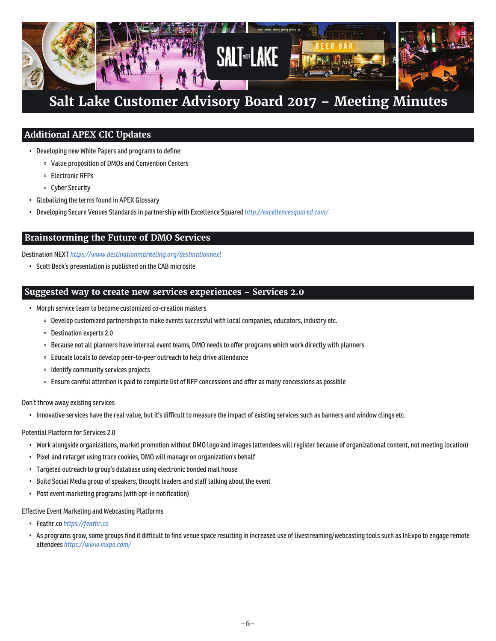

### **Additional APEX CIC Updates**

- Developing new White Papers and programs to define:
	- Value proposition of DMOs and Convention Centers
	- Electronic RFPs
	- Cyber Security
- Globalizing the terms found in APEX Glossary
- Developing Secure Venues Standards in partnership with Excellence Squared *http://excellencesquared.com/*

### **Brainstorming the Future of DMO Services**

Destination NEXT *https://www.destinationmarketing.org/destinationnext*

• Scott Beck's presentation is published on the CAB microsite

### **Suggested way to create new services experiences - Services 2.0**

- Morph service team to become customized co-creation masters
	- Develop customized partnerships to make events successful with local companies, educators, industry etc.
	- Destination experts 2.0
	- Because not all planners have internal event teams, DMO needs to offer programs which work directly with planners
	- Educate locals to develop peer-to-peer outreach to help drive attendance
	- o Identify community services projects
	- Ensure careful attention is paid to complete list of RFP concessions and offer as many concessions as possible

### Don't throw away existing services

• Innovative services have the real value, but it's difficult to measure the impact of existing services such as banners and window clings etc.

### Potential Platform for Services 2.0

- Work alongside organizations, market promotion without DMO logo and images (attendees will register because of organizational content, not meeting location)
- Pixel and retarget using trace cookies, DMO will manage on organization's behalf
- Targeted outreach to group's database using electronic bonded mail house
- Build Social Media group of speakers, thought leaders and staff talking about the event
- Post event marketing programs (with opt-in notification)

### Effective Event Marketing and Webcasting Platforms

- Feathr.co *https://feathr.co*
- As programs grow, some groups find it difficult to find venue space resulting in increased use of livestreaming/webcasting tools such as InExpo to engage remote attendees *https://www.inxpo.com/*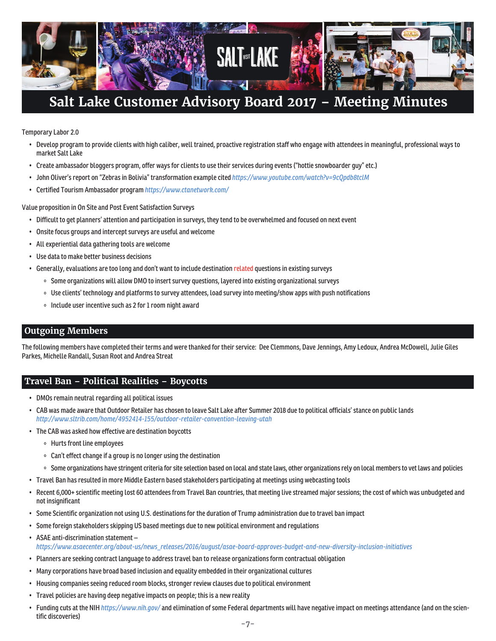

Temporary Labor 2.0

- Develop program to provide clients with high caliber, well trained, proactive registration staff who engage with attendees in meaningful, professional ways to market Salt Lake
- Create ambassador bloggers program, offer ways for clients to use their services during events ("hottie snowboarder guy" etc.)
- John Oliver's report on "Zebras in Bolivia" transformation example cited *https://www.youtube.com/watch?v=9cQpdb8tclM*
- Certified Tourism Ambassador program *https://www.ctanetwork.com/*

Value proposition in On Site and Post Event Satisfaction Surveys

- Difficult to get planners' attention and participation in surveys, they tend to be overwhelmed and focused on next event
- Onsite focus groups and intercept surveys are useful and welcome
- All experiential data gathering tools are welcome
- Use data to make better business decisions
- Generally, evaluations are too long and don't want to include destination related questions in existing surveys
	- o Some organizations will allow DMO to insert survey questions, layered into existing organizational surveys
	- Use clients' technology and platforms to survey attendees, load survey into meeting/show apps with push notifications
	- o Include user incentive such as 2 for 1 room night award

### **Outgoing Members**

The following members have completed their terms and were thanked for their service: Dee Clemmons, Dave Jennings, Amy Ledoux, Andrea McDowell, Julie Giles Parkes, Michelle Randall, Susan Root and Andrea Streat

### **Travel Ban – Political Realities – Boycotts**

- DMOs remain neutral regarding all political issues
- CAB was made aware that Outdoor Retailer has chosen to leave Salt Lake after Summer 2018 due to political officials' stance on public lands *http://www.sltrib.com/home/4952414-155/outdoor-retailer-convention-leaving-utah*
- The CAB was asked how effective are destination boycotts
	- Hurts front line employees
	- Can't effect change if a group is no longer using the destination
	- o Some organizations have stringent criteria for site selection based on local and state laws, other organizations rely on local members to vet laws and policies
- Travel Ban has resulted in more Middle Eastern based stakeholders participating at meetings using webcasting tools
- Recent 6,000+ scientific meeting lost 60 attendees from Travel Ban countries, that meeting live streamed major sessions; the cost of which was unbudgeted and not insignificant
- Some Scientific organization not using U.S. destinations for the duration of Trump administration due to travel ban impact
- Some foreign stakeholders skipping US based meetings due to new political environment and regulations
- ASAE anti-discrimination statement *https://www.asaecenter.org/about-us/news\_releases/2016/august/asae-board-approves-budget-and-new-diversity-inclusion-initiatives*
- Planners are seeking contract language to address travel ban to release organizations form contractual obligation
- Many corporations have broad based inclusion and equality embedded in their organizational cultures
- Housing companies seeing reduced room blocks, stronger review clauses due to political environment
- Travel policies are having deep negative impacts on people; this is a new reality
- Funding cuts at the NIH *https://www.nih.gov/* and elimination of some Federal departments will have negative impact on meetings attendance (and on the scientific discoveries)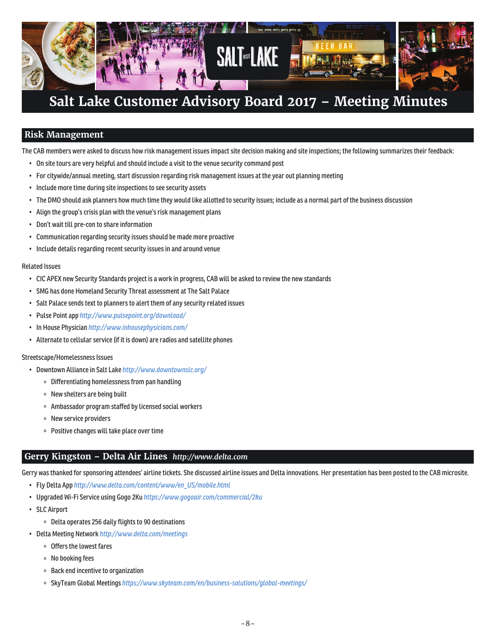

### **Risk Management**

The CAB members were asked to discuss how risk management issues impact site decision making and site inspections; the following summarizes their feedback:

- On site tours are very helpful and should include a visit to the venue security command post
- For citywide/annual meeting, start discussion regarding risk management issues at the year out planning meeting
- Include more time during site inspections to see security assets
- The DMO should ask planners how much time they would like allotted to security issues; include as a normal part of the business discussion
- Align the group's crisis plan with the venue's risk management plans
- Don't wait till pre-con to share information
- Communication regarding security issues should be made more proactive
- Include details regarding recent security issues in and around venue

### Related Issues

- CIC APEX new Security Standards project is a work in progress, CAB will be asked to review the new standards
- SMG has done Homeland Security Threat assessment at The Salt Palace
- Salt Palace sends text to planners to alert them of any security related issues
- Pulse Point app *http://www.pulsepoint.org/download/*
- In House Physician *http://www.inhousephysicians.com/*
- Alternate to cellular service (if it is down) are radios and satellite phones

### Streetscape/Homelessness Issues

- Downtown Alliance in Salt Lake *http://www.downtownslc.org/*
	- Differentiating homelessness from pan handling
	- New shelters are being built
	- Ambassador program staffed by licensed social workers
	- New service providers
	- Positive changes will take place over time

### **Gerry Kingston – Delta Air Lines** *http://www.delta.com*

Gerry was thanked for sponsoring attendees' airline tickets. She discussed airline issues and Delta innovations. Her presentation has been posted to the CAB microsite.

- Fly Delta App *http://www.delta.com/content/www/en\_US/mobile.html*
- Upgraded Wi-Fi Service using Gogo 2Ku *https://www.gogoair.com/commercial/2ku*
- SLC Airport
	- Delta operates 256 daily flights to 90 destinations
- Delta Meeting Network *http://www.delta.com/meetings*
	- Offers the lowest fares
	- No booking fees
	- Back end incentive to organization
	- SkyTeam Global Meetings *https://www.skyteam.com/en/business-solutions/global-meetings/*